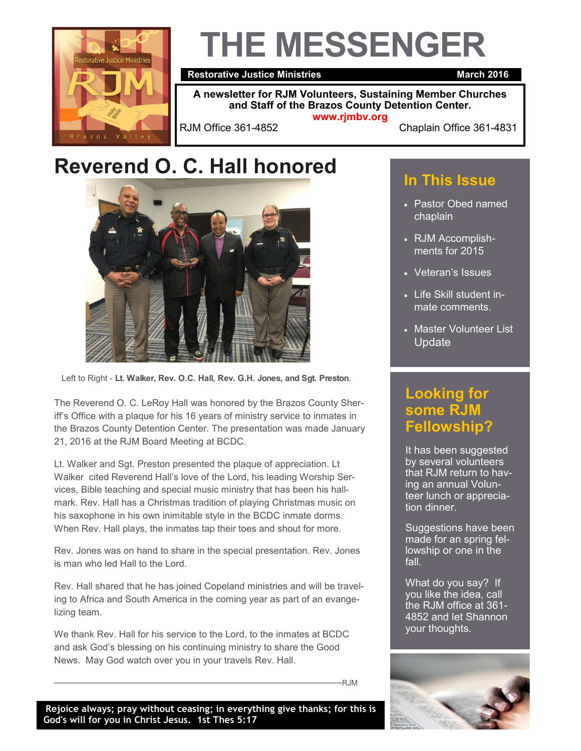

# **THE MESSENGER**

**Restorative Justice Ministries March 2016** 

**A newsletter for RJM Volunteers, Sustaining Member Churches and Staff of the Brazos County Detention Center. www.rjmbv.org**

RJM Office 361-4852 Chaplain Office 361-4831

### **Reverend O. C. Hall honored**



Left to Right - **Lt. Walker, Rev. O.C. Hall, Rev. G.H. Jones, and Sgt. Preston**.

The Reverend O. C. LeRoy Hall was honored by the Brazos County Sheriff's Office with a plaque for his 16 years of ministry service to inmates in the Brazos County Detention Center. The presentation was made January 21, 2016 at the RJM Board Meeting at BCDC.

Lt. Walker and Sgt. Preston presented the plaque of appreciation. Lt Walker cited Reverend Hall's love of the Lord, his leading Worship Services, Bible teaching and special music ministry that has been his hallmark. Rev. Hall has a Christmas tradition of playing Christmas music on his saxophone in his own inimitable style in the BCDC inmate dorms. When Rev. Hall plays, the inmates tap their toes and shout for more.

Rev. Jones was on hand to share in the special presentation. Rev. Jones is man who led Hall to the Lord.

Rev. Hall shared that he has joined Copeland ministries and will be traveling to Africa and South America in the coming year as part of an evangelizing team.

We thank Rev. Hall for his service to the Lord, to the inmates at BCDC and ask God's blessing on his continuing ministry to share the Good News. May God watch over you in your travels Rev. Hall.

——————————————————————————————-RJM

#### **In This Issue**

- Pastor Obed named chaplain
- RJM Accomplishments for 2015
- Veteran's Issues
- Life Skill student inmate comments.
- Master Volunteer List Update

#### **Looking for some RJM Fellowship?**

It has been suggested by several volunteers that RJM return to having an annual Volunteer lunch or appreciation dinner.

Suggestions have been made for an spring fellowship or one in the fall.

What do you say? If you like the idea, call the RJM office at 361- 4852 and let Shannon your thoughts.

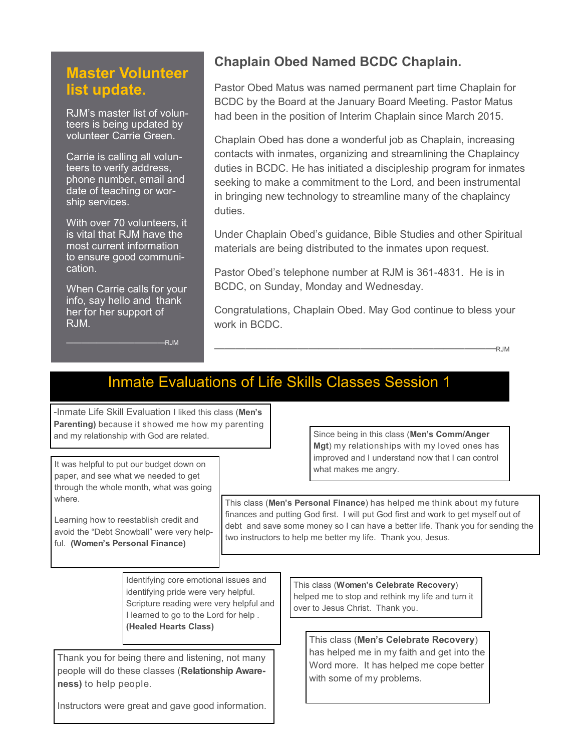#### **Master Volunteer list update.**

RJM's master list of volunteers is being updated by volunteer Carrie Green.

Carrie is calling all volunteers to verify address, phone number, email and date of teaching or worship services.

With over 70 volunteers, it is vital that RJM have the most current information to ensure good communication.

When Carrie calls for your info, say hello and thank her for her support of RJM.

 $-RJM$ 

#### **Chaplain Obed Named BCDC Chaplain.**

Pastor Obed Matus was named permanent part time Chaplain for BCDC by the Board at the January Board Meeting. Pastor Matus had been in the position of Interim Chaplain since March 2015.

Chaplain Obed has done a wonderful job as Chaplain, increasing contacts with inmates, organizing and streamlining the Chaplaincy duties in BCDC. He has initiated a discipleship program for inmates seeking to make a commitment to the Lord, and been instrumental in bringing new technology to streamline many of the chaplaincy duties.

Under Chaplain Obed's guidance, Bible Studies and other Spiritual materials are being distributed to the inmates upon request.

Pastor Obed's telephone number at RJM is 361-4831. He is in BCDC, on Sunday, Monday and Wednesday.

Congratulations, Chaplain Obed. May God continue to bless your work in BCDC.

———————————————————————————RJM

#### Inmate Evaluations of Life Skills Classes Session 1

-Inmate Life Skill Evaluation I liked this class (**Men's Parenting)** because it showed me how my parenting and my relationship with God are related.

It was helpful to put our budget down on paper, and see what we needed to get through the whole month, what was going where.

Learning how to reestablish credit and avoid the "Debt Snowball" were very helpful. **(Women's Personal Finance)**

Since being in this class (**Men's Comm/Anger Mgt**) my relationships with my loved ones has improved and I understand now that I can control what makes me angry.

This class (**Men's Personal Finance**) has helped me think about my future finances and putting God first. I will put God first and work to get myself out of debt and save some money so I can have a better life. Thank you for sending the two instructors to help me better my life. Thank you, Jesus.

Identifying core emotional issues and identifying pride were very helpful. Scripture reading were very helpful and I learned to go to the Lord for help . **(Healed Hearts Class)**

Thank you for being there and listening, not many people will do these classes (**Relationship Awareness)** to help people.

This class (**Women's Celebrate Recovery**) helped me to stop and rethink my life and turn it over to Jesus Christ. Thank you.

> This class (**Men's Celebrate Recovery**) has helped me in my faith and get into the Word more. It has helped me cope better with some of my problems.

Instructors were great and gave good information.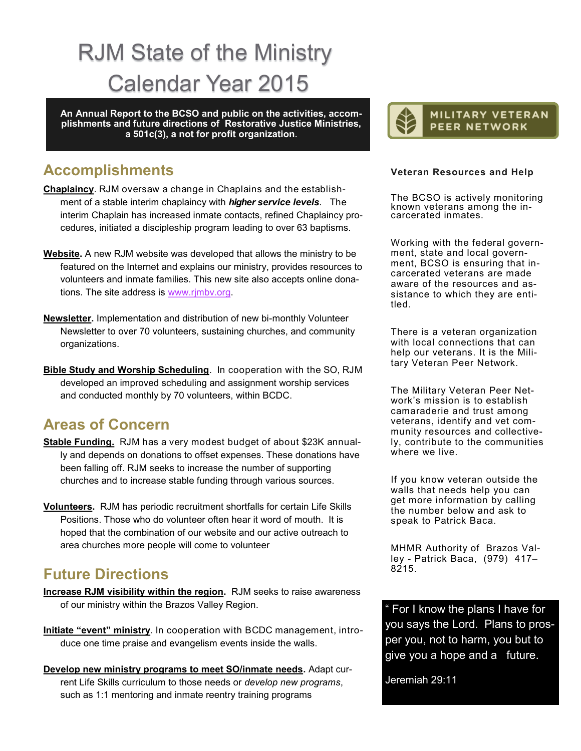## RJM State of the Ministry Calendar Year 2015

**An Annual Report to the BCSO and public on the activities, accomplishments and future directions of Restorative Justice Ministries, a 501c(3), a not for profit organization.** 

#### **Accomplishments**

- **Chaplaincy**. RJM oversaw a change in Chaplains and the establishment of a stable interim chaplaincy with *higher service levels*. The interim Chaplain has increased inmate contacts, refined Chaplaincy procedures, initiated a discipleship program leading to over 63 baptisms.
- **Website.** A new RJM website was developed that allows the ministry to be featured on the Internet and explains our ministry, provides resources to volunteers and inmate families. This new site also accepts online donations. The site address is [www.rjmbv.org.](http://www.rjmbv.org)
- **Newsletter.** Implementation and distribution of new bi-monthly Volunteer Newsletter to over 70 volunteers, sustaining churches, and community organizations.
- **Bible Study and Worship Scheduling**. In cooperation with the SO, RJM developed an improved scheduling and assignment worship services and conducted monthly by 70 volunteers, within BCDC.

#### **Areas of Concern**

- **Stable Funding.** RJM has a very modest budget of about \$23K annually and depends on donations to offset expenses. These donations have been falling off. RJM seeks to increase the number of supporting churches and to increase stable funding through various sources.
- **Volunteers.** RJM has periodic recruitment shortfalls for certain Life Skills Positions. Those who do volunteer often hear it word of mouth. It is hoped that the combination of our website and our active outreach to area churches more people will come to volunteer

#### **Future Directions**

- **Increase RJM visibility within the region.** RJM seeks to raise awareness of our ministry within the Brazos Valley Region.
- **Initiate "event" ministry**. In cooperation with BCDC management, introduce one time praise and evangelism events inside the walls.
- **Develop new ministry programs to meet SO/inmate needs.** Adapt current Life Skills curriculum to those needs or *develop new programs*, such as 1:1 mentoring and inmate reentry training programs



#### **Veteran Resources and Help**

The BCSO is actively monitoring known veterans among the incarcerated inmates.

Working with the federal government, state and local government, BCSO is ensuring that incarcerated veterans are made aware of the resources and assistance to which they are entitled.

There is a veteran organization with local connections that can help our veterans. It is the Military Veteran Peer Network.

The Military Veteran Peer Network's mission is to establish camaraderie and trust among veterans, identify and vet community resources and collectively, contribute to the communities where we live.

If you know veteran outside the walls that needs help you can get more information by calling the number below and ask to speak to Patrick Baca.

MHMR Authority of Brazos Valley - Patrick Baca, (979) 417– 8215.

For I know the plans I have for you says the Lord. Plans to prosper you, not to harm, you but to give you a hope and a future.

Jeremiah 29:11